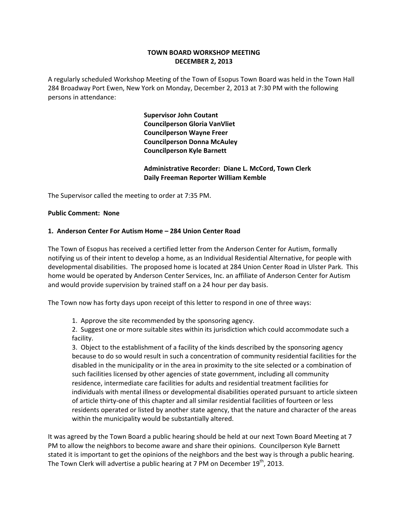## **TOWN BOARD WORKSHOP MEETING DECEMBER 2, 2013**

A regularly scheduled Workshop Meeting of the Town of Esopus Town Board was held in the Town Hall 284 Broadway Port Ewen, New York on Monday, December 2, 2013 at 7:30 PM with the following persons in attendance:

> **Supervisor John Coutant Councilperson Gloria VanVliet Councilperson Wayne Freer Councilperson Donna McAuley Councilperson Kyle Barnett**

 **Administrative Recorder: Diane L. McCord, Town Clerk Daily Freeman Reporter William Kemble**

The Supervisor called the meeting to order at 7:35 PM.

### **Public Comment: None**

### **1. Anderson Center For Autism Home – 284 Union Center Road**

The Town of Esopus has received a certified letter from the Anderson Center for Autism, formally notifying us of their intent to develop a home, as an Individual Residential Alternative, for people with developmental disabilities. The proposed home is located at 284 Union Center Road in Ulster Park. This home would be operated by Anderson Center Services, Inc. an affiliate of Anderson Center for Autism and would provide supervision by trained staff on a 24 hour per day basis.

The Town now has forty days upon receipt of this letter to respond in one of three ways:

1. Approve the site recommended by the sponsoring agency.

2. Suggest one or more suitable sites within its jurisdiction which could accommodate such a facility.

3. Object to the establishment of a facility of the kinds described by the sponsoring agency because to do so would result in such a concentration of community residential facilities for the disabled in the municipality or in the area in proximity to the site selected or a combination of such facilities licensed by other agencies of state government, including all community residence, intermediate care facilities for adults and residential treatment facilities for individuals with mental illness or developmental disabilities operated pursuant to article sixteen of article thirty‐one of this chapter and all similar residential facilities of fourteen or less residents operated or listed by another state agency, that the nature and character of the areas within the municipality would be substantially altered.

It was agreed by the Town Board a public hearing should be held at our next Town Board Meeting at 7 PM to allow the neighbors to become aware and share their opinions. Councilperson Kyle Barnett stated it is important to get the opinions of the neighbors and the best way is through a public hearing. The Town Clerk will advertise a public hearing at 7 PM on December  $19<sup>th</sup>$ , 2013.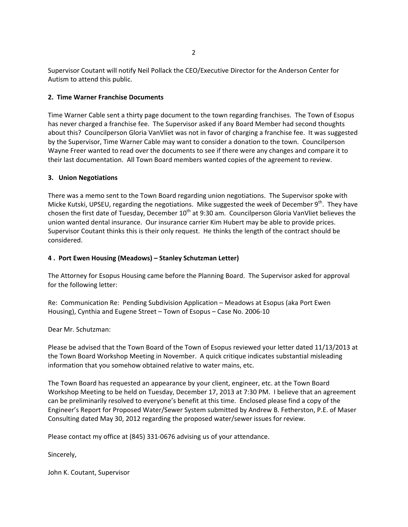Supervisor Coutant will notify Neil Pollack the CEO/Executive Director for the Anderson Center for Autism to attend this public.

## **2. Time Warner Franchise Documents**

Time Warner Cable sent a thirty page document to the town regarding franchises. The Town of Esopus has never charged a franchise fee. The Supervisor asked if any Board Member had second thoughts about this? Councilperson Gloria VanVliet was not in favor of charging a franchise fee. It was suggested by the Supervisor, Time Warner Cable may want to consider a donation to the town. Councilperson Wayne Freer wanted to read over the documents to see if there were any changes and compare it to their last documentation. All Town Board members wanted copies of the agreement to review.

# **3. Union Negotiations**

There was a memo sent to the Town Board regarding union negotiations. The Supervisor spoke with Micke Kutski, UPSEU, regarding the negotiations. Mike suggested the week of December 9<sup>th</sup>. They have chosen the first date of Tuesday, December  $10^{th}$  at 9:30 am. Councilperson Gloria VanVliet believes the union wanted dental insurance. Our insurance carrier Kim Hubert may be able to provide prices. Supervisor Coutant thinks this is their only request. He thinks the length of the contract should be considered.

## **4 . Port Ewen Housing (Meadows) – Stanley Schutzman Letter)**

The Attorney for Esopus Housing came before the Planning Board. The Supervisor asked for approval for the following letter:

Re: Communication Re: Pending Subdivision Application – Meadows at Esopus (aka Port Ewen Housing), Cynthia and Eugene Street – Town of Esopus – Case No. 2006‐10

Dear Mr. Schutzman:

Please be advised that the Town Board of the Town of Esopus reviewed your letter dated 11/13/2013 at the Town Board Workshop Meeting in November. A quick critique indicates substantial misleading information that you somehow obtained relative to water mains, etc.

The Town Board has requested an appearance by your client, engineer, etc. at the Town Board Workshop Meeting to be held on Tuesday, December 17, 2013 at 7:30 PM. I believe that an agreement can be preliminarily resolved to everyone's benefit at this time. Enclosed please find a copy of the Engineer's Report for Proposed Water/Sewer System submitted by Andrew B. Fetherston, P.E. of Maser Consulting dated May 30, 2012 regarding the proposed water/sewer issues for review.

Please contact my office at (845) 331‐0676 advising us of your attendance.

Sincerely,

John K. Coutant, Supervisor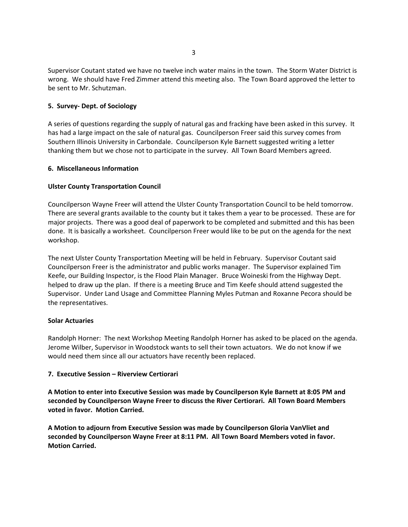Supervisor Coutant stated we have no twelve inch water mains in the town. The Storm Water District is wrong. We should have Fred Zimmer attend this meeting also. The Town Board approved the letter to be sent to Mr. Schutzman.

### **5. Survey‐ Dept. of Sociology**

A series of questions regarding the supply of natural gas and fracking have been asked in this survey. It has had a large impact on the sale of natural gas. Councilperson Freer said this survey comes from Southern Illinois University in Carbondale. Councilperson Kyle Barnett suggested writing a letter thanking them but we chose not to participate in the survey. All Town Board Members agreed.

### **6. Miscellaneous Information**

### **Ulster County Transportation Council**

Councilperson Wayne Freer will attend the Ulster County Transportation Council to be held tomorrow. There are several grants available to the county but it takes them a year to be processed. These are for major projects. There was a good deal of paperwork to be completed and submitted and this has been done. It is basically a worksheet. Councilperson Freer would like to be put on the agenda for the next workshop.

The next Ulster County Transportation Meeting will be held in February. Supervisor Coutant said Councilperson Freer is the administrator and public works manager. The Supervisor explained Tim Keefe, our Building Inspector, is the Flood Plain Manager. Bruce Woineski from the Highway Dept. helped to draw up the plan. If there is a meeting Bruce and Tim Keefe should attend suggested the Supervisor. Under Land Usage and Committee Planning Myles Putman and Roxanne Pecora should be the representatives.

### **Solar Actuaries**

Randolph Horner: The next Workshop Meeting Randolph Horner has asked to be placed on the agenda. Jerome Wilber, Supervisor in Woodstock wants to sell their town actuators. We do not know if we would need them since all our actuators have recently been replaced.

### **7. Executive Session – Riverview Certiorari**

**A Motion to enter into Executive Session was made by Councilperson Kyle Barnett at 8:05 PM and seconded by Councilperson Wayne Freer to discuss the River Certiorari. All Town Board Members voted in favor. Motion Carried.**

**A Motion to adjourn from Executive Session was made by Councilperson Gloria VanVliet and seconded by Councilperson Wayne Freer at 8:11 PM. All Town Board Members voted in favor. Motion Carried.**